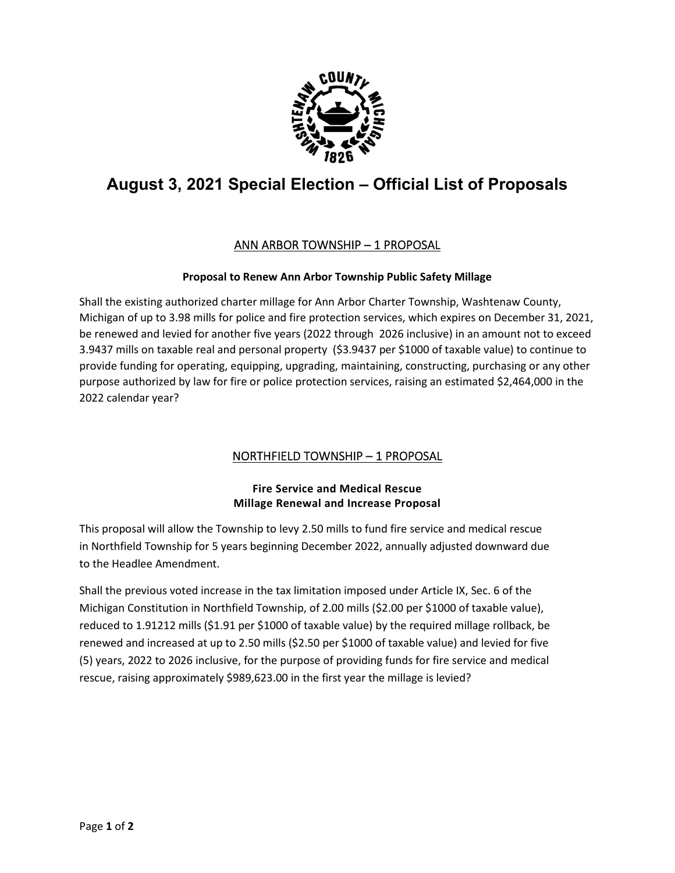

# **August 3, 2021 Special Election – Official List of Proposals**

## ANN ARBOR TOWNSHIP – 1 PROPOSAL

#### **Proposal to Renew Ann Arbor Township Public Safety Millage**

Shall the existing authorized charter millage for Ann Arbor Charter Township, Washtenaw County, Michigan of up to 3.98 mills for police and fire protection services, which expires on December 31, 2021, be renewed and levied for another five years (2022 through 2026 inclusive) in an amount not to exceed 3.9437 mills on taxable real and personal property (\$3.9437 per \$1000 of taxable value) to continue to provide funding for operating, equipping, upgrading, maintaining, constructing, purchasing or any other purpose authorized by law for fire or police protection services, raising an estimated \$2,464,000 in the 2022 calendar year?

## NORTHFIELD TOWNSHIP – 1 PROPOSAL

#### **Fire Service and Medical Rescue Millage Renewal and Increase Proposal**

This proposal will allow the Township to levy 2.50 mills to fund fire service and medical rescue in Northfield Township for 5 years beginning December 2022, annually adjusted downward due to the Headlee Amendment.

Shall the previous voted increase in the tax limitation imposed under Article IX, Sec. 6 of the Michigan Constitution in Northfield Township, of 2.00 mills (\$2.00 per \$1000 of taxable value), reduced to 1.91212 mills (\$1.91 per \$1000 of taxable value) by the required millage rollback, be renewed and increased at up to 2.50 mills (\$2.50 per \$1000 of taxable value) and levied for five (5) years, 2022 to 2026 inclusive, for the purpose of providing funds for fire service and medical rescue, raising approximately \$989,623.00 in the first year the millage is levied?